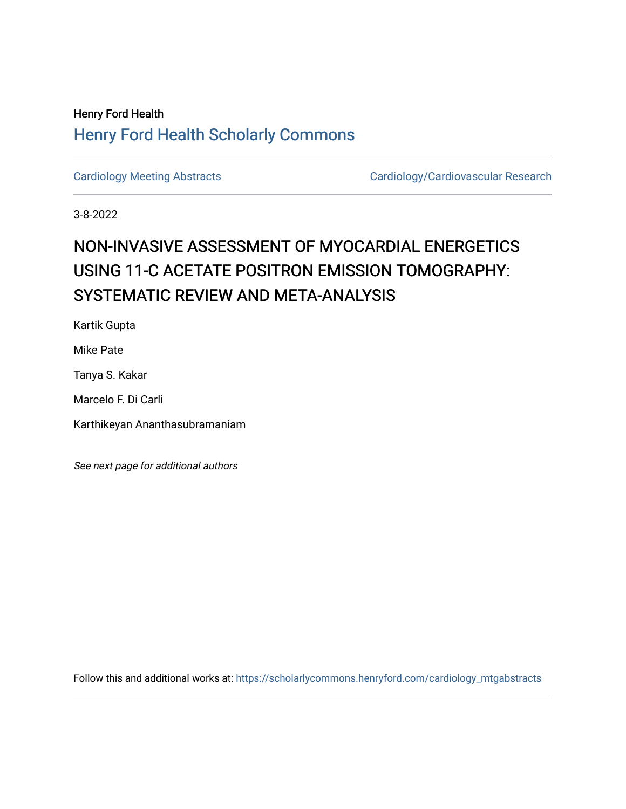## Henry Ford Health [Henry Ford Health Scholarly Commons](https://scholarlycommons.henryford.com/)

[Cardiology Meeting Abstracts](https://scholarlycommons.henryford.com/cardiology_mtgabstracts) Cardiology/Cardiovascular Research

3-8-2022

## NON-INVASIVE ASSESSMENT OF MYOCARDIAL ENERGETICS USING 11-C ACETATE POSITRON EMISSION TOMOGRAPHY: SYSTEMATIC REVIEW AND META-ANALYSIS

Kartik Gupta

Mike Pate

Tanya S. Kakar

Marcelo F. Di Carli

Karthikeyan Ananthasubramaniam

See next page for additional authors

Follow this and additional works at: [https://scholarlycommons.henryford.com/cardiology\\_mtgabstracts](https://scholarlycommons.henryford.com/cardiology_mtgabstracts?utm_source=scholarlycommons.henryford.com%2Fcardiology_mtgabstracts%2F337&utm_medium=PDF&utm_campaign=PDFCoverPages)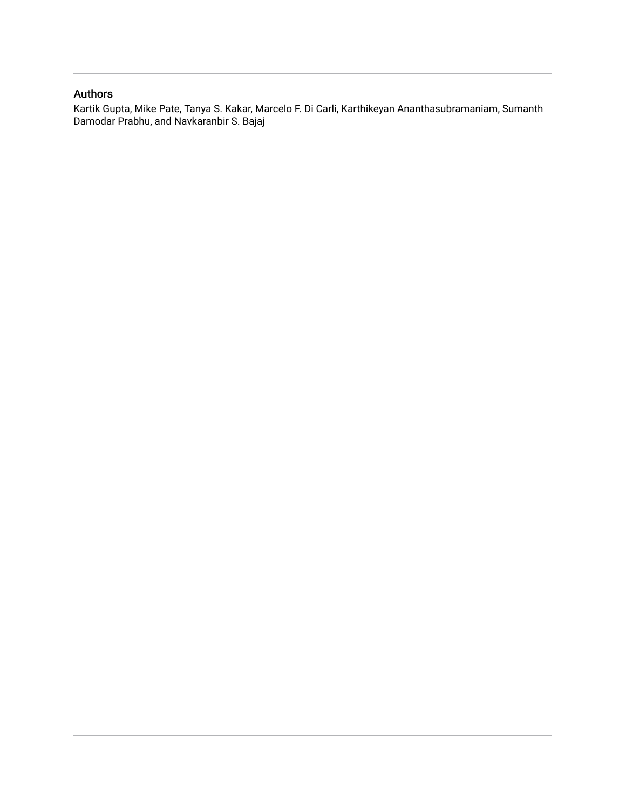## Authors

Kartik Gupta, Mike Pate, Tanya S. Kakar, Marcelo F. Di Carli, Karthikeyan Ananthasubramaniam, Sumanth Damodar Prabhu, and Navkaranbir S. Bajaj